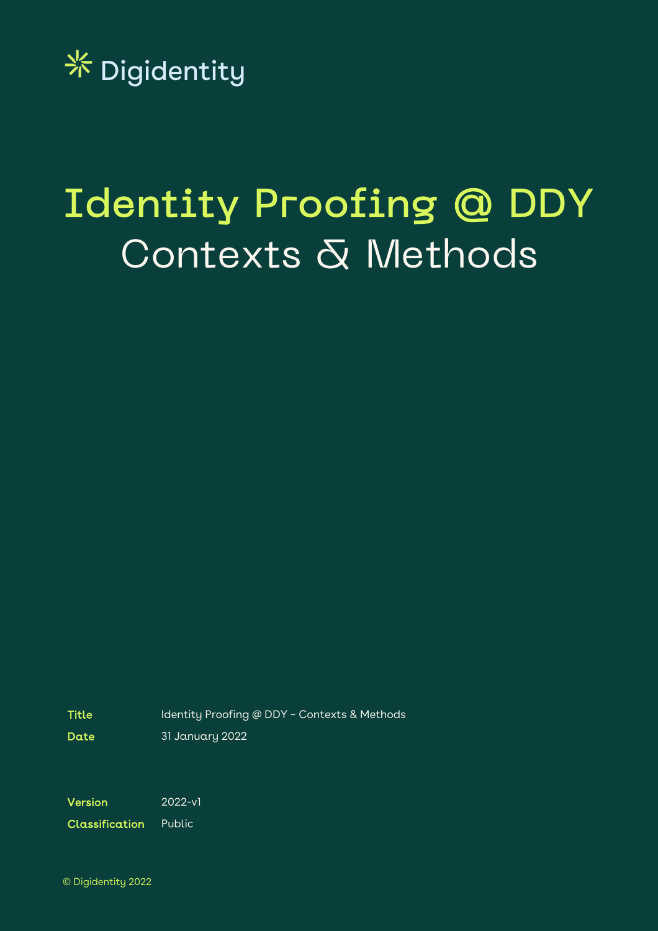

# Identity Proofing @ DDY Contexts & Methods

Title Identity Proofing @ DDY - Contexts & Methods

Date 31 January 2022

Version 2022-v1

Classification Public

© Digidentity 2022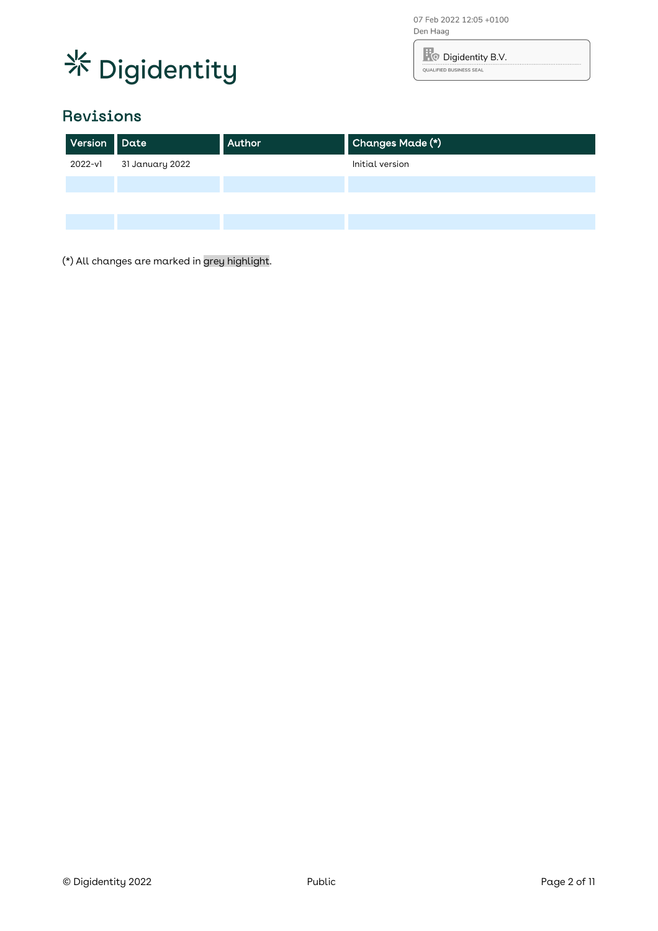

07 Feb 2022 12:05 +0100 Den Haag

**R**<sup>o</sup> Digidentity B.V. QUALIFIED BUSINESS SEAL

### Revisions

| Version Date |                 | Author | Changes Made (*) |  |  |  |  |  |
|--------------|-----------------|--------|------------------|--|--|--|--|--|
| 2022-v1      | 31 January 2022 |        | Initial version  |  |  |  |  |  |
|              |                 |        |                  |  |  |  |  |  |
|              |                 |        |                  |  |  |  |  |  |
|              |                 |        |                  |  |  |  |  |  |

(\*) All changes are marked in grey highlight.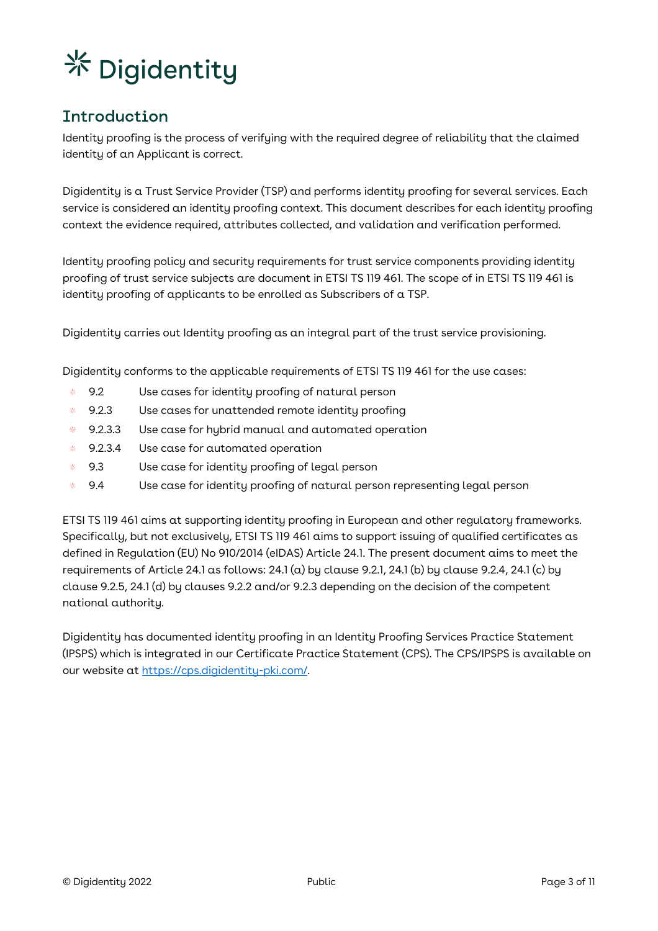

### Introduction

Identity proofing is the process of verifying with the required degree of reliability that the claimed identity of an Applicant is correct.

Digidentity is a Trust Service Provider (TSP) and performs identity proofing for several services. Each service is considered an identity proofing context. This document describes for each identity proofing context the evidence required, attributes collected, and validation and verification performed.

Identity proofing policy and security requirements for trust service components providing identity proofing of trust service subjects are document in ETSI TS 119 461. The scope of in ETSI TS 119 461 is identity proofing of applicants to be enrolled as Subscribers of a TSP.

Digidentity carries out Identity proofing as an integral part of the trust service provisioning.

Digidentity conforms to the applicable requirements of ETSI TS 119 461 for the use cases:

- 뾽 9.2 Use cases for identity proofing of natural person
- 9.2.3 Use cases for unattended remote identity proofing  $\frac{1}{2}$
- 9.2.3.3 Use case for hybrid manual and automated operation 感。
- 9.2.3.4 Use case for automated operation 聚。
- 9.3 Use case for identity proofing of legal person 感。
- 9.4 Use case for identity proofing of natural person representing legal person 坚。

ETSI TS 119 461 aims at supporting identity proofing in European and other regulatory frameworks. Specifically, but not exclusively, ETSI TS 119 461 aims to support issuing of qualified certificates as defined in Regulation (EU) No 910/2014 (eIDAS) Article 24.1. The present document aims to meet the requirements of Article 24.1 as follows:  $24.1$  (a) by clause 9.2.1, 24.1 (b) by clause 9.2.4, 24.1 (c) by clause 9.2.5, 24.1 (d) by clauses 9.2.2 and/or 9.2.3 depending on the decision of the competent national authority.

Digidentity has documented identity proofing in an Identity Proofing Services Practice Statement (IPSPS) which is integrated in our Certificate Practice Statement (CPS). The CPS/IPSPS is available on our website at https://cps.digidentity-pki.com/.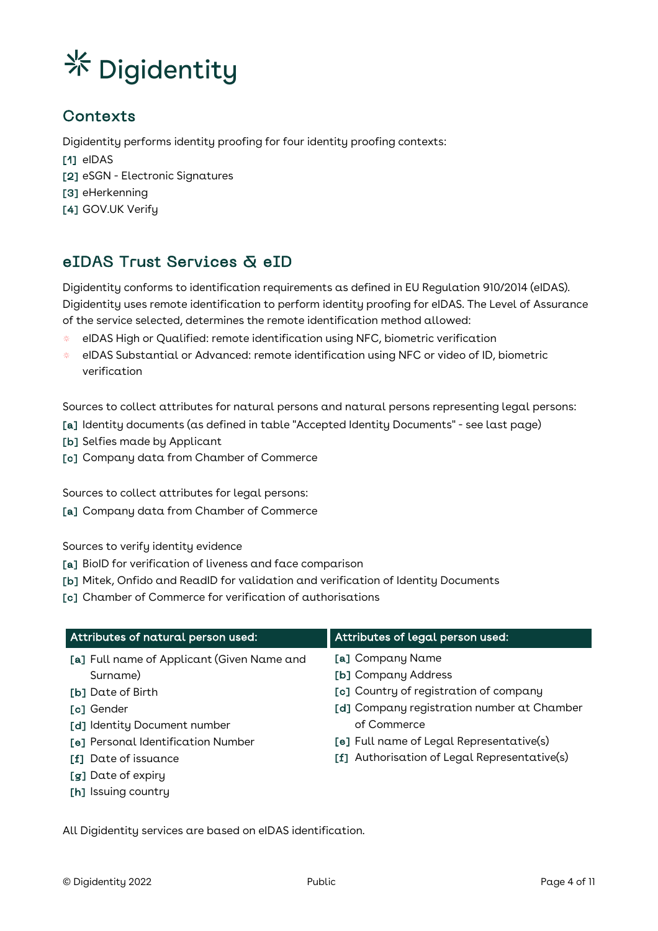### **Contexts**

Digidentity performs identity proofing for four identity proofing contexts:

[1] eIDAS

[2] eSGN - Electronic Signatures

[3] eHerkenning

[4] GOV.UK Verify

## eIDAS Trust Services & eID

Digidentity conforms to identification requirements as defined in EU Regulation 910/2014 (eIDAS). Digidentity uses remote identification to perform identity proofing for eIDAS. The Level of Assurance of the service selected, determines the remote identification method allowed:

- eIDAS High or Qualified: remote identification using NFC, biometric verification
- 상.<br>상. eIDAS Substantial or Advanced: remote identification using NFC or video of ID, biometric verification

Sources to collect attributes for natural persons and natural persons representing legal persons:

- [a] Identity documents (as defined in table "Accepted Identity Documents" see last page)
- [b] Selfies made by Applicant
- [c] Company data from Chamber of Commerce

Sources to collect attributes for legal persons:

[a] Company data from Chamber of Commerce

Sources to verify identity evidence

- [a] BioID for verification of liveness and face comparison
- [b] Mitek, Onfido and ReadID for validation and verification of Identity Documents
- [c] Chamber of Commerce for verification of authorisations

| Attributes of natural person used:         | Attributes of legal person used:             |
|--------------------------------------------|----------------------------------------------|
| [a] Full name of Applicant (Given Name and | [a] Company Name                             |
| Surname)                                   | [b] Company Address                          |
| [b] Date of Birth                          | [c] Country of registration of company       |
| [c] Gender                                 | [d] Company registration number at Chamber   |
| [d] Identity Document number               | of Commerce                                  |
| [e] Personal Identification Number         | [e] Full name of Legal Representative(s)     |
| [f] Date of issuance                       | [f] Authorisation of Legal Representative(s) |
| [g] Date of expiry                         |                                              |
| [h] Issuing country                        |                                              |

All Digidentity services are based on eIDAS identification.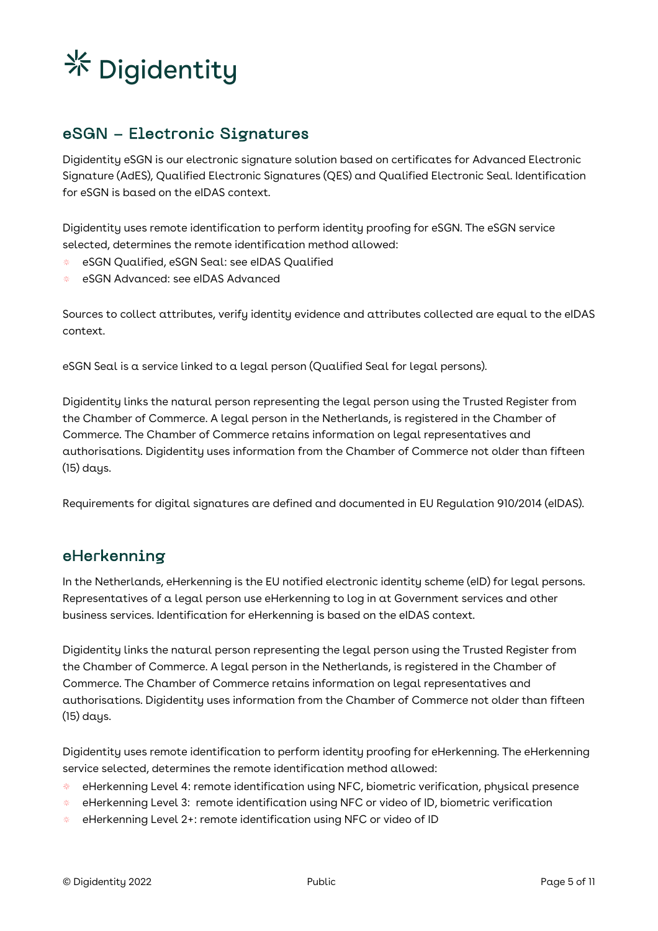### eSGN - Electronic Signatures

Digidentity eSGN is our electronic signature solution based on certificates for Advanced Electronic Signature (AdES), Qualified Electronic Signatures (QES) and Qualified Electronic Seal. Identification for eSGN is based on the eIDAS context.

Digidentity uses remote identification to perform identity proofing for eSGN. The eSGN service selected, determines the remote identification method allowed:

- eSGN Qualified, eSGN Seal: see eIDAS Qualified 竖
- eSGN Advanced: see eIDAS Advanced

Sources to collect attributes, verify identity evidence and attributes collected are equal to the eIDAS context.

eSGN Seal is a service linked to a legal person (Qualified Seal for legal persons).

Digidentity links the natural person representing the legal person using the Trusted Register from the Chamber of Commerce. A legal person in the Netherlands, is registered in the Chamber of Commerce. The Chamber of Commerce retains information on legal representatives and authorisations. Digidentity uses information from the Chamber of Commerce not older than fifteen  $(15)$  days.

Requirements for digital signatures are defined and documented in EU Regulation 910/2014 (eIDAS).

### eHerkenning

In the Netherlands, eHerkenning is the EU notified electronic identity scheme (eID) for legal persons. Representatives of a legal person use eHerkenning to log in at Government services and other business services. Identification for eHerkenning is based on the eIDAS context.

Digidentity links the natural person representing the legal person using the Trusted Register from the Chamber of Commerce. A legal person in the Netherlands, is registered in the Chamber of Commerce. The Chamber of Commerce retains information on legal representatives and authorisations. Digidentity uses information from the Chamber of Commerce not older than fifteen (15) days.

Digidentity uses remote identification to perform identity proofing for eHerkenning. The eHerkenning service selected, determines the remote identification method allowed:

- eHerkenning Level 4: remote identification using NFC, biometric verification, physical presence
- eHerkenning Level 3: remote identification using NFC or video of ID, biometric verification 柴。
- eHerkenning Level 2+: remote identification using NFC or video of ID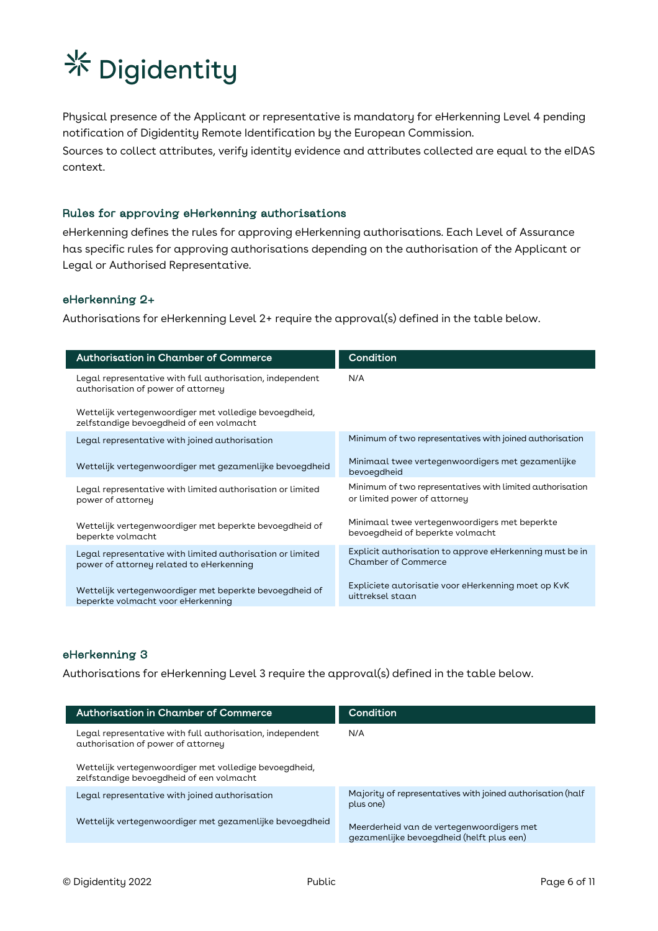Physical presence of the Applicant or representative is mandatory for eHerkenning Level 4 pending notification of Digidentity Remote Identification by the European Commission. Sources to collect attributes, verify identity evidence and attributes collected are equal to the eIDAS context.

#### Rules for approving eHerkenning authorisations

eHerkenning defines the rules for approving eHerkenning authorisations. Each Level of Assurance has specific rules for approving authorisations depending on the authorisation of the Applicant or Legal or Authorised Representative.

#### eHerkenning 2+

Authorisations for eHerkenning Level 2+ require the approval(s) defined in the table below.

| <b>Authorisation in Chamber of Commerce</b>                                                            | Condition                                                                                 |  |  |  |  |  |
|--------------------------------------------------------------------------------------------------------|-------------------------------------------------------------------------------------------|--|--|--|--|--|
| Legal representative with full authorisation, independent<br>authorisation of power of attorney        | N/A                                                                                       |  |  |  |  |  |
| Wettelijk vertegenwoordiger met volledige bevoegdheid,<br>zelfstandige bevoegdheid of een volmacht     |                                                                                           |  |  |  |  |  |
| Legal representative with joined authorisation                                                         | Minimum of two representatives with joined authorisation                                  |  |  |  |  |  |
| Wettelijk vertegenwoordiger met gezamenlijke bevoegdheid                                               | Minimaal twee vertegenwoordigers met gezamenlijke<br>bevoegdheid                          |  |  |  |  |  |
| Legal representative with limited authorisation or limited<br>power of attorney                        | Minimum of two representatives with limited authorisation<br>or limited power of attorney |  |  |  |  |  |
| Wettelijk vertegenwoordiger met beperkte bevoegdheid of<br>beperkte volmacht                           | Minimaal twee vertegenwoordigers met beperkte<br>bevoegdheid of beperkte volmacht         |  |  |  |  |  |
| Legal representative with limited authorisation or limited<br>power of attorney related to eHerkenning | Explicit authorisation to approve eHerkenning must be in<br><b>Chamber of Commerce</b>    |  |  |  |  |  |
| Wettelijk vertegenwoordiger met beperkte bevoegdheid of<br>beperkte volmacht voor eHerkenning          | Expliciete autorisatie voor eHerkenning moet op KvK<br>uittreksel staan                   |  |  |  |  |  |

#### eHerkenning 3

Authorisations for eHerkenning Level 3 require the approval(s) defined in the table below.

| Authorisation in Chamber of Commerce                                                               | Condition                                                                              |  |  |  |  |  |
|----------------------------------------------------------------------------------------------------|----------------------------------------------------------------------------------------|--|--|--|--|--|
| Legal representative with full authorisation, independent<br>authorisation of power of attorney    | N/A                                                                                    |  |  |  |  |  |
| Wettelijk vertegenwoordiger met volledige bevoegdheid,<br>zelfstandige bevoegdheid of een volmacht |                                                                                        |  |  |  |  |  |
| Legal representative with joined authorisation                                                     | Majority of representatives with joined authorisation (half<br>plus one)               |  |  |  |  |  |
| Wettelijk vertegenwoordiger met gezamenlijke bevoegdheid                                           | Meerderheid van de vertegenwoordigers met<br>gezamenlijke bevoegdheid (helft plus een) |  |  |  |  |  |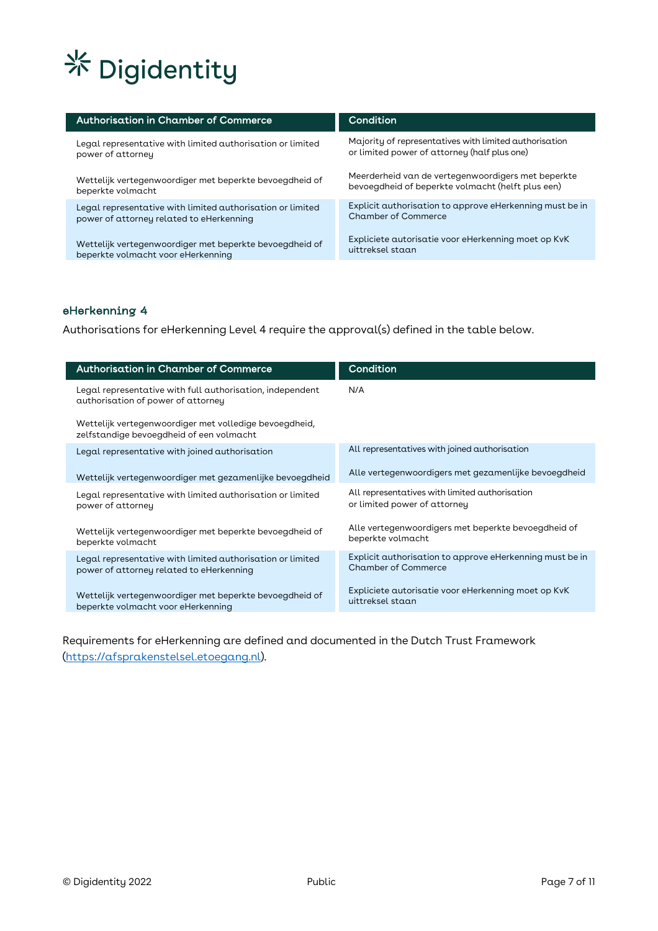| <b>Authorisation in Chamber of Commerce</b>                | Condition                                                |  |  |  |  |  |
|------------------------------------------------------------|----------------------------------------------------------|--|--|--|--|--|
| Legal representative with limited authorisation or limited | Majority of representatives with limited authorisation   |  |  |  |  |  |
| power of attorney                                          | or limited power of attorney (half plus one)             |  |  |  |  |  |
| Wettelijk vertegenwoordiger met beperkte bevoegdheid of    | Meerderheid van de vertegenwoordigers met beperkte       |  |  |  |  |  |
| beperkte volmacht                                          | bevoegdheid of beperkte volmacht (helft plus een)        |  |  |  |  |  |
| Legal representative with limited authorisation or limited | Explicit authorisation to approve eHerkenning must be in |  |  |  |  |  |
| power of attorney related to eHerkenning                   | Chamber of Commerce                                      |  |  |  |  |  |
| Wettelijk vertegenwoordiger met beperkte bevoegdheid of    | Expliciete autorisatie voor eHerkenning moet op KvK      |  |  |  |  |  |
| beperkte volmacht voor eHerkenning                         | uittreksel staan                                         |  |  |  |  |  |

#### eHerkenning 4

Authorisations for eHerkenning Level 4 require the approval(s) defined in the table below.

| <b>Authorisation in Chamber of Commerce</b>                                                            | Condition                                                                              |  |  |  |  |  |
|--------------------------------------------------------------------------------------------------------|----------------------------------------------------------------------------------------|--|--|--|--|--|
| Legal representative with full authorisation, independent<br>authorisation of power of attorney        | N/A                                                                                    |  |  |  |  |  |
| Wettelijk vertegenwoordiger met volledige bevoegdheid,<br>zelfstandige bevoegdheid of een volmacht     |                                                                                        |  |  |  |  |  |
| Legal representative with joined authorisation                                                         | All representatives with joined authorisation                                          |  |  |  |  |  |
| Wettelijk vertegenwoordiger met gezamenlijke bevoegdheid                                               | Alle vertegenwoordigers met gezamenlijke bevoegdheid                                   |  |  |  |  |  |
| Legal representative with limited authorisation or limited<br>power of attorney                        | All representatives with limited authorisation<br>or limited power of attorney         |  |  |  |  |  |
| Wettelijk vertegenwoordiger met beperkte bevoegdheid of<br>beperkte volmacht                           | Alle vertegenwoordigers met beperkte bevoegdheid of<br>beperkte volmacht               |  |  |  |  |  |
| Legal representative with limited authorisation or limited<br>power of attorney related to eHerkenning | Explicit authorisation to approve eHerkenning must be in<br><b>Chamber of Commerce</b> |  |  |  |  |  |
| Wettelijk vertegenwoordiger met beperkte bevoegdheid of<br>beperkte volmacht voor eHerkenning          | Expliciete autorisatie voor eHerkenning moet op KvK<br>uittreksel staan                |  |  |  |  |  |

Requirements for eHerkenning are defined and documented in the Dutch Trust Framework (https://afsprakenstelsel.etoegang.nl).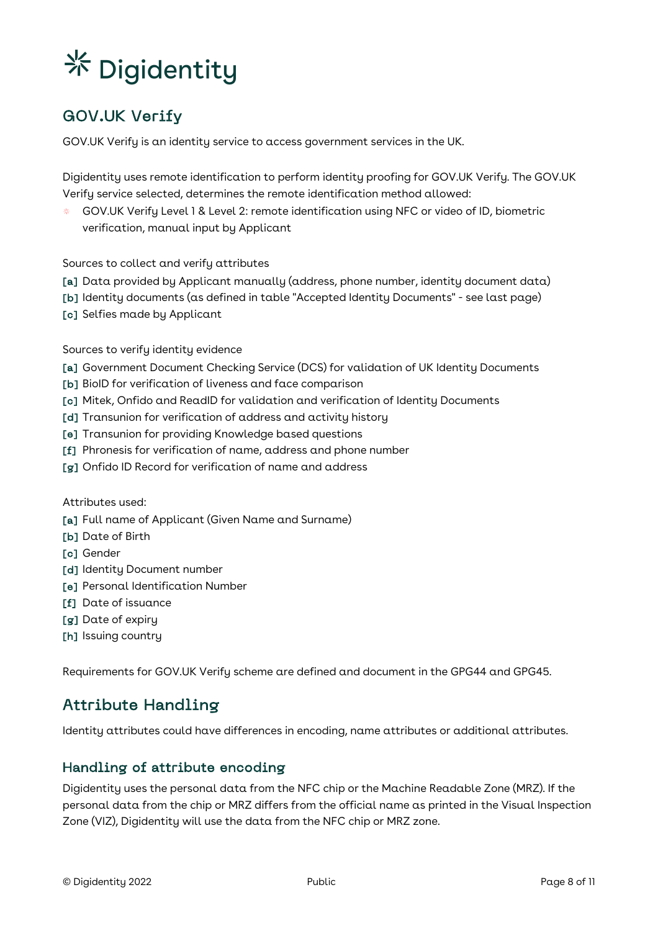## GOV.UK Verify

GOV.UK Verify is an identity service to access government services in the UK.

Digidentity uses remote identification to perform identity proofing for GOV.UK Verify. The GOV.UK Verify service selected, determines the remote identification method allowed:

GOV.UK Verify Level 1 & Level 2: remote identification using NFC or video of ID, biometric verification, manual input by Applicant

Sources to collect and verify attributes

- [a] Data provided by Applicant manually (address, phone number, identity document data)
- [b] Identity documents (as defined in table "Accepted Identity Documents" see last page)
- [c] Selfies made by Applicant

Sources to verify identity evidence

- [a] Government Document Checking Service (DCS) for validation of UK Identity Documents
- [b] BioID for verification of liveness and face comparison
- [c] Mitek, Onfido and ReadID for validation and verification of Identity Documents
- [d] Transunion for verification of address and activity history
- [e] Transunion for providing Knowledge based questions
- [f] Phronesis for verification of name, address and phone number
- [g] Onfido ID Record for verification of name and address

Attributes used:

- [a] Full name of Applicant (Given Name and Surname)
- [b] Date of Birth
- **[c]** Gender
- [d] Identity Document number
- [e] Personal Identification Number
- [f] Date of issuance
- [g] Date of expiry
- [h] Issuing country

Requirements for GOV.UK Verify scheme are defined and document in the GPG44 and GPG45.

## Attribute Handling

Identity attributes could have differences in encoding, name attributes or additional attributes.

#### Handling of attribute encoding

Digidentity uses the personal data from the NFC chip or the Machine Readable Zone (MRZ). If the personal data from the chip or MRZ differs from the official name as printed in the Visual Inspection Zone (VIZ), Digidentity will use the data from the NFC chip or MRZ zone.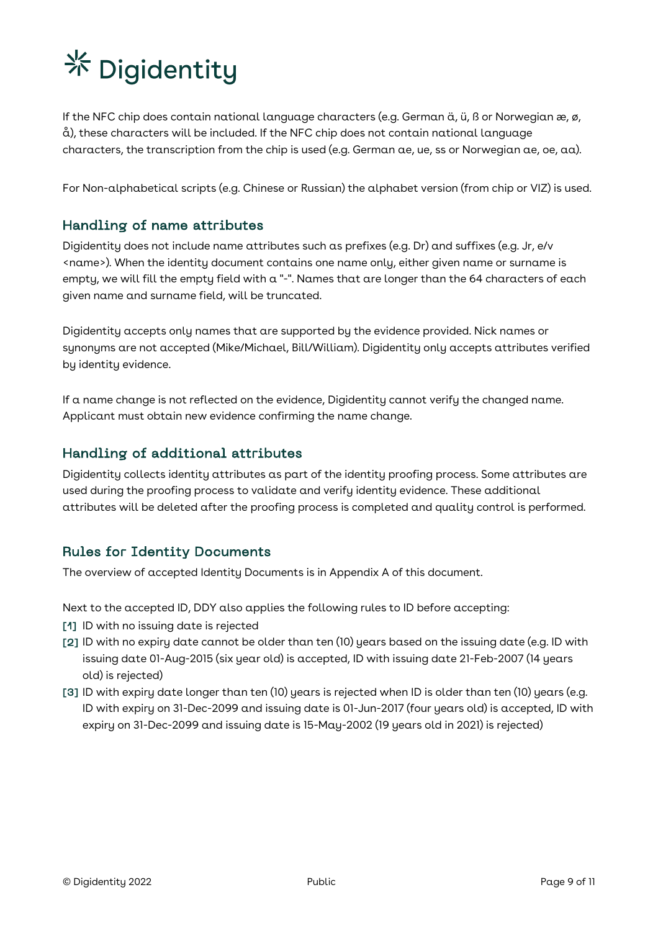If the NFC chip does contain national language characters (e.g. German ä, ü, ß or Norwegian æ, ø, å), these characters will be included. If the NFC chip does not contain national language characters, the transcription from the chip is used (e.g. German ae, ue, ss or Norwegian ae, oe, aa).

For Non-alphabetical scripts (e.g. Chinese or Russian) the alphabet version (from chip or VIZ) is used.

#### Handling of name attributes

Digidentity does not include name attributes such as prefixes (e.g. Dr) and suffixes (e.g. Jr, e/v <name>). When the identity document contains one name only, either given name or surname is empty, we will fill the empty field with a "-". Names that are longer than the 64 characters of each given name and surname field, will be truncated.

Digidentity accepts only names that are supported by the evidence provided. Nick names or synonyms are not accepted (Mike/Michael, Bill/William). Digidentity only accepts attributes verified by identity evidence.

If a name change is not reflected on the evidence, Digidentity cannot verify the changed name. Applicant must obtain new evidence confirming the name change.

#### Handling of additional attributes

Digidentity collects identity attributes as part of the identity proofing process. Some attributes are used during the proofing process to validate and verify identity evidence. These additional attributes will be deleted after the proofing process is completed and quality control is performed.

#### Rules for Identity Documents

The overview of accepted Identity Documents is in Appendix A of this document.

Next to the accepted ID, DDY also applies the following rules to ID before accepting:

- [1] ID with no issuing date is rejected
- [2] ID with no expiry date cannot be older than ten (10) years based on the issuing date (e.g. ID with issuing date 01-Aug-2015 (six year old) is accepted, ID with issuing date 21-Feb-2007 (14 years old) is rejected)
- [3] ID with expiry date longer than ten (10) years is rejected when ID is older than ten (10) years (e.g. ID with expiry on 31-Dec-2099 and issuing date is 01-Jun-2017 (four years old) is accepted, ID with expiry on 31-Dec-2099 and issuing date is 15-May-2002 (19 years old in 2021) is rejected)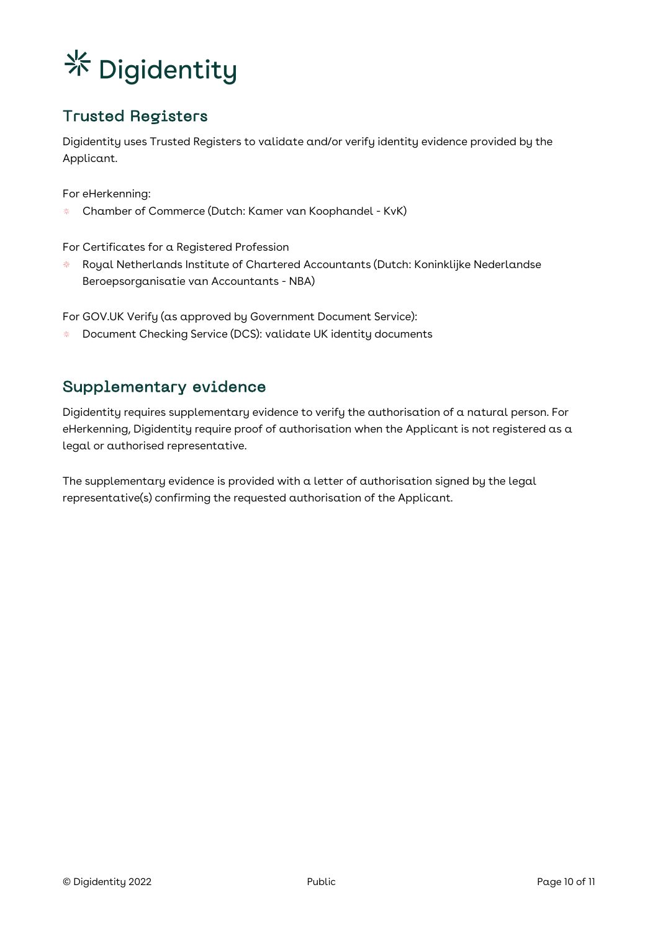## Trusted Registers

Digidentity uses Trusted Registers to validate and/or verify identity evidence provided by the Applicant.

For eHerkenning:

Chamber of Commerce (Dutch: Kamer van Koophandel - KvK) 琴

For Certificates for a Registered Profession

米 。 Royal Netherlands Institute of Chartered Accountants (Dutch: Koninklijke Nederlandse Beroepsorganisatie van Accountants - NBA)

For GOV.UK Verify (as approved by Government Document Service):

Document Checking Service (DCS): validate UK identity documents 柴

### Supplementary evidence

Digidentity requires supplementary evidence to verify the authorisation of a natural person. For eHerkenning, Digidentity require proof of authorisation when the Applicant is not registered as a legal or authorised representative.

The supplementary evidence is provided with a letter of authorisation signed by the legal representative(s) confirming the requested authorisation of the Applicant.